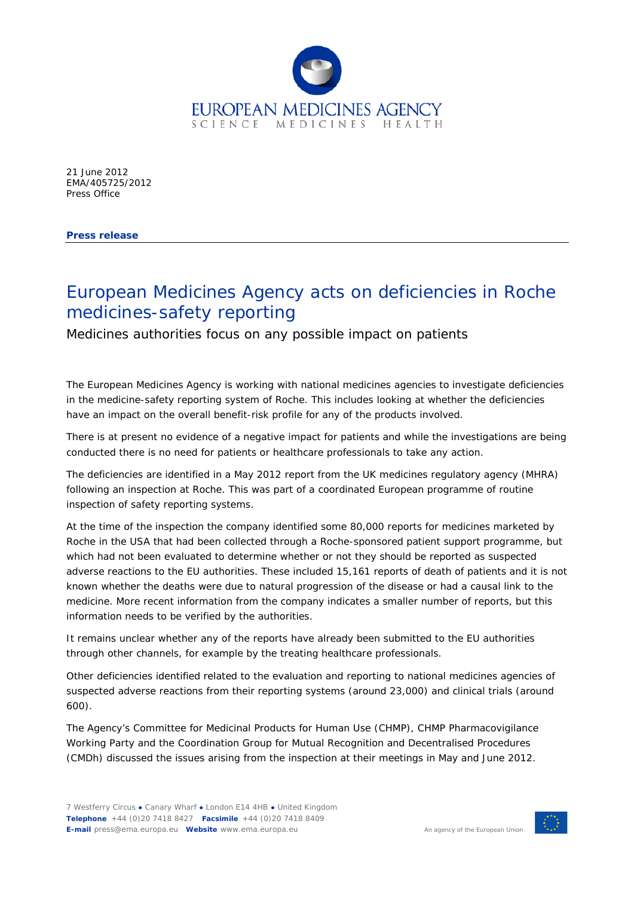

21 June 2012 EMA/405725/2012 Press Office

**Press release**

## European Medicines Agency acts on deficiencies in Roche medicines-safety reporting

Medicines authorities focus on any possible impact on patients

The European Medicines Agency is working with national medicines agencies to investigate deficiencies in the medicine-safety reporting system of Roche. This includes looking at whether the deficiencies have an impact on the overall benefit-risk profile for any of the products involved.

There is at present no evidence of a negative impact for patients and while the investigations are being conducted there is no need for patients or healthcare professionals to take any action.

The deficiencies are identified in a May 2012 report from the UK medicines regulatory agency (MHRA) following an inspection at Roche. This was part of a coordinated European programme of routine inspection of safety reporting systems.

At the time of the inspection the company identified some 80,000 reports for medicines marketed by Roche in the USA that had been collected through a Roche-sponsored patient support programme, but which had not been evaluated to determine whether or not they should be reported as suspected adverse reactions to the EU authorities. These included 15,161 reports of death of patients and it is not known whether the deaths were due to natural progression of the disease or had a causal link to the medicine. More recent information from the company indicates a smaller number of reports, but this information needs to be verified by the authorities.

It remains unclear whether any of the reports have already been submitted to the EU authorities through other channels, for example by the treating healthcare professionals.

Other deficiencies identified related to the evaluation and reporting to national medicines agencies of suspected adverse reactions from their reporting systems (around 23,000) and clinical trials (around 600).

The Agency's Committee for Medicinal Products for Human Use (CHMP), CHMP Pharmacovigilance Working Party and the Coordination Group for Mutual Recognition and Decentralised Procedures (CMDh) discussed the issues arising from the inspection at their meetings in May and June 2012.